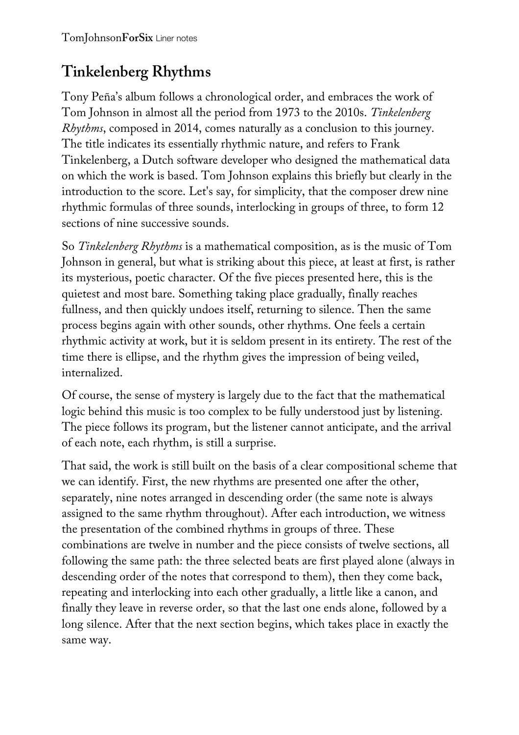## **Tinkelenberg Rhythms**

Tony Peña's album follows a chronological order, and embraces the work of Tom Johnson in almost all the period from 1973 to the 2010s. *Tinkelenberg Rhythms*, composed in 2014, comes naturally as a conclusion to this journey. The title indicates its essentially rhythmic nature, and refers to Frank Tinkelenberg, a Dutch software developer who designed the mathematical data on which the work is based. Tom Johnson explains this briefly but clearly in the introduction to the score. Let's say, for simplicity, that the composer drew nine rhythmic formulas of three sounds, interlocking in groups of three, to form 12 sections of nine successive sounds.

So *Tinkelenberg Rhythms* is a mathematical composition, as is the music of Tom Johnson in general, but what is striking about this piece, at least at first, is rather its mysterious, poetic character. Of the five pieces presented here, this is the quietest and most bare. Something taking place gradually, finally reaches fullness, and then quickly undoes itself, returning to silence. Then the same process begins again with other sounds, other rhythms. One feels a certain rhythmic activity at work, but it is seldom present in its entirety. The rest of the time there is ellipse, and the rhythm gives the impression of being veiled, internalized.

Of course, the sense of mystery is largely due to the fact that the mathematical logic behind this music is too complex to be fully understood just by listening. The piece follows its program, but the listener cannot anticipate, and the arrival of each note, each rhythm, is still a surprise.

That said, the work is still built on the basis of a clear compositional scheme that we can identify. First, the new rhythms are presented one after the other, separately, nine notes arranged in descending order (the same note is always assigned to the same rhythm throughout). After each introduction, we witness the presentation of the combined rhythms in groups of three. These combinations are twelve in number and the piece consists of twelve sections, all following the same path: the three selected beats are first played alone (always in descending order of the notes that correspond to them), then they come back, repeating and interlocking into each other gradually, a little like a canon, and finally they leave in reverse order, so that the last one ends alone, followed by a long silence. After that the next section begins, which takes place in exactly the same way.